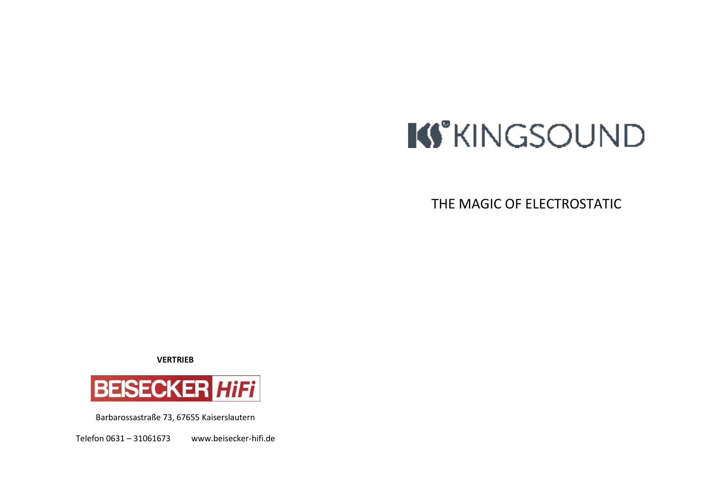# **K**<sup>\*</sup>KINGSOUND

THE MAGIC OF ELECTROSTATIC

**VERTRIEB**



Barbarossastraße 73, 67655 Kaiserslautern

Telefon 0631 – 31061673 www.beisecker-hifi.de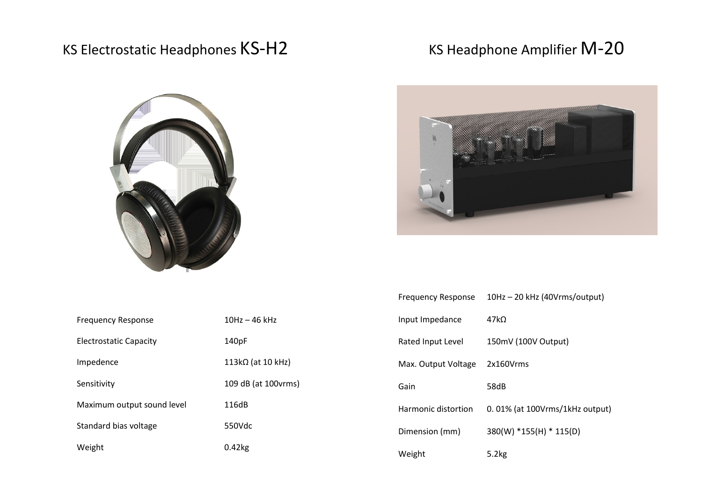## KS Headphone Amplifier M-20

## KS Electrostatic Headphones KS-H2





| <b>Frequency Response</b>  | $10Hz - 46kHz$      |
|----------------------------|---------------------|
| Electrostatic Capacity     | 140pF               |
| Impedence                  | 113kΩ (at 10 kHz)   |
| Sensitivity                | 109 dB (at 100vrms) |
| Maximum output sound level | 116dB               |
| Standard bias voltage      | 550Vdc              |
| Weight                     | $0.42$ kg           |
|                            |                     |

| <b>Frequency Response</b> | 10Hz - 20 kHz (40Vrms/output)     |
|---------------------------|-----------------------------------|
| Input Impedance           | 47kQ                              |
| Rated Input Level         | 150mV (100V Output)               |
| Max. Output Voltage       | 2x160Vrms                         |
| Gain                      | 58dB                              |
| Harmonic distortion       | $0.01\%$ (at 100Vrms/1kHz output) |
| Dimension (mm)            | 380(W) *155(H) * 115(D)           |
| Weight                    | 5.2kg                             |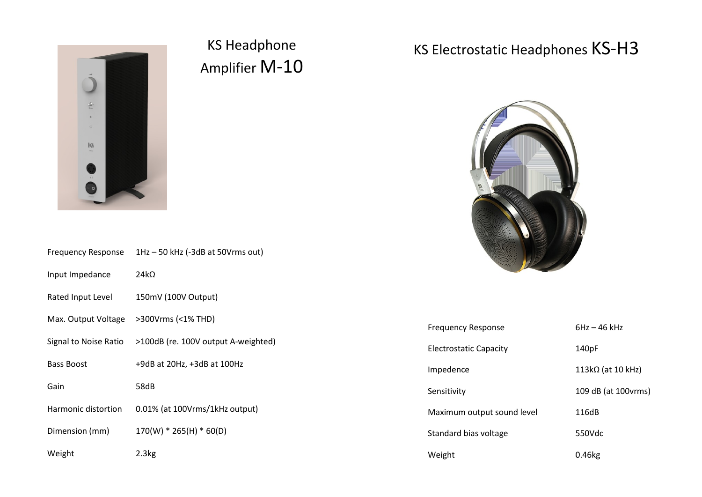

## KS Headphone Amplifier M-10

### KS Electrostatic Headphones KS-H3



| <b>Frequency Response</b> | $1$ Hz – 50 kHz (-3dB at 50Vrms out) |
|---------------------------|--------------------------------------|
| Input Impedance           | 24 $k\Omega$                         |
| Rated Input Level         | 150mV (100V Output)                  |
| Max. Output Voltage       | >300Vrms (<1% THD)                   |
| Signal to Noise Ratio     | >100dB (re. 100V output A-weighted)  |
| <b>Bass Boost</b>         | +9dB at 20Hz, +3dB at 100Hz          |
| Gain                      | 58dB                                 |
| Harmonic distortion       | $0.01\%$ (at 100Vrms/1kHz output)    |
| Dimension (mm)            | $170(W) * 265(H) * 60(D)$            |
| Weight                    | 2.3kg                                |

| <b>Frequency Response</b>     | $6Hz - 46kHz$            |
|-------------------------------|--------------------------|
| <b>Electrostatic Capacity</b> | 140pF                    |
| Impedence                     | $113k\Omega$ (at 10 kHz) |
| Sensitivity                   | 109 dB (at 100vrms)      |
| Maximum output sound level    | 116dB                    |
| Standard bias voltage         | 550Vdc                   |
| Weight                        | 0.46kg                   |